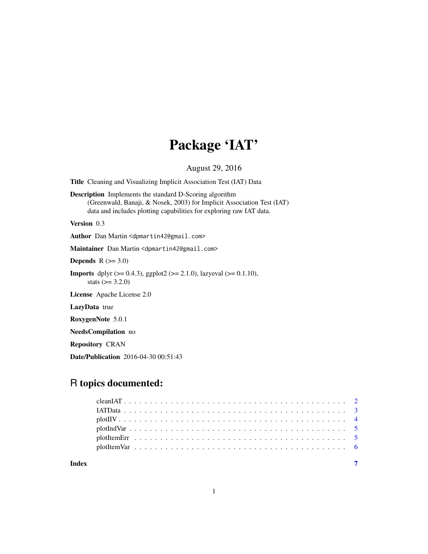## Package 'IAT'

August 29, 2016

Title Cleaning and Visualizing Implicit Association Test (IAT) Data

Description Implements the standard D-Scoring algorithm (Greenwald, Banaji, & Nosek, 2003) for Implicit Association Test (IAT) data and includes plotting capabilities for exploring raw IAT data.

Version 0.3

Author Dan Martin <dpmartin42@gmail.com>

Maintainer Dan Martin <dpmartin42@gmail.com>

Depends  $R$  ( $>= 3.0$ )

**Imports** dplyr ( $>= 0.4.3$ ), ggplot2 ( $>= 2.1.0$ ), lazyeval ( $>= 0.1.10$ ), stats  $(>= 3.2.0)$ 

License Apache License 2.0

LazyData true

RoxygenNote 5.0.1

NeedsCompilation no

Repository CRAN

Date/Publication 2016-04-30 00:51:43

## R topics documented:

| Index |  |  |  |  |  |  |  |  |  |  |  |  |  |  |  |  |  |  |  |
|-------|--|--|--|--|--|--|--|--|--|--|--|--|--|--|--|--|--|--|--|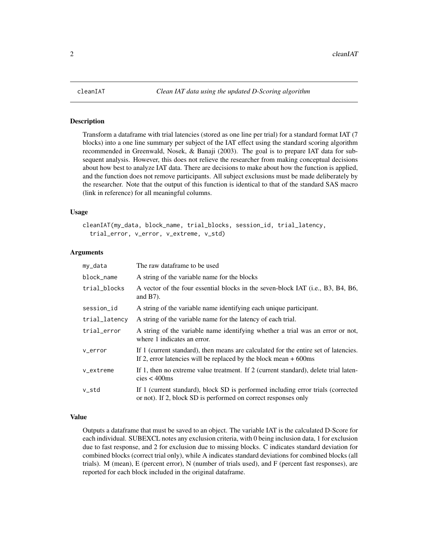<span id="page-1-0"></span>

#### Description

Transform a dataframe with trial latencies (stored as one line per trial) for a standard format IAT (7 blocks) into a one line summary per subject of the IAT effect using the standard scoring algorithm recommended in Greenwald, Nosek, & Banaji (2003). The goal is to prepare IAT data for subsequent analysis. However, this does not relieve the researcher from making conceptual decisions about how best to analyze IAT data. There are decisions to make about how the function is applied, and the function does not remove participants. All subject exclusions must be made deliberately by the researcher. Note that the output of this function is identical to that of the standard SAS macro (link in reference) for all meaningful columns.

## Usage

```
cleanIAT(my_data, block_name, trial_blocks, session_id, trial_latency,
  trial_error, v_error, v_extreme, v_std)
```
## Arguments

| my_data       | The raw dataframe to be used                                                                                                                              |
|---------------|-----------------------------------------------------------------------------------------------------------------------------------------------------------|
| block_name    | A string of the variable name for the blocks                                                                                                              |
| trial_blocks  | A vector of the four essential blocks in the seven-block IAT (i.e., B3, B4, B6,<br>and $B7$ ).                                                            |
| session_id    | A string of the variable name identifying each unique participant.                                                                                        |
| trial_latency | A string of the variable name for the latency of each trial.                                                                                              |
| trial_error   | A string of the variable name identifying whether a trial was an error or not,<br>where 1 indicates an error.                                             |
| v_error       | If 1 (current standard), then means are calculated for the entire set of latencies.<br>If 2, error latencies will be replaced by the block mean $+600$ ms |
| v_extreme     | If 1, then no extreme value treatment. If 2 (current standard), delete trial laten-<br>$cies < 400$ ms                                                    |
| v_std         | If 1 (current standard), block SD is performed including error trials (corrected<br>or not). If 2, block SD is performed on correct responses only        |

#### Value

Outputs a dataframe that must be saved to an object. The variable IAT is the calculated D-Score for each individual. SUBEXCL notes any exclusion criteria, with 0 being inclusion data, 1 for exclusion due to fast response, and 2 for exclusion due to missing blocks. C indicates standard deviation for combined blocks (correct trial only), while A indicates standard deviations for combined blocks (all trials). M (mean), E (percent error), N (number of trials used), and F (percent fast responses), are reported for each block included in the original dataframe.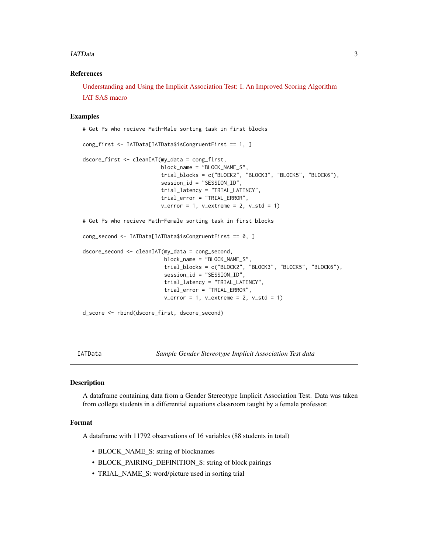#### <span id="page-2-0"></span>IATData 3

## References

[Understanding and Using the Implicit Association Test: I. An Improved Scoring Algorithm](http://faculty.washington.edu/agg/pdf/GB&N.JPSP.2003.pdf) [IAT SAS macro](http://projectimplicit.net/nosek/papers/scoringalgorithm.sas.txt)

### Examples

# Get Ps who recieve Math-Male sorting task in first blocks

```
cong_first <- IATData[IATData$isCongruentFirst == 1, ]
dscore_first <- cleanIAT(my_data = cong_first,
                        block_name = "BLOCK_NAME_S",
                         trial_blocks = c("BLOCK2", "BLOCK3", "BLOCK5", "BLOCK6"),
                         session_id = "SESSION_ID",
                         trial_latency = "TRIAL_LATENCY",
                         trial_error = "TRIAL_ERROR",
                         v_error = 1, v_extreme = 2, v_std = 1)# Get Ps who recieve Math-Female sorting task in first blocks
cong_second <- IATData[IATData$isCongruentFirst == 0, ]
dscore_second <- cleanIAT(my_data = cong_second,
                          block_name = "BLOCK_NAME_S",
                          trial_blocks = c("BLOCK2", "BLOCK3", "BLOCK5", "BLOCK6"),
                          session_id = "SESSION_ID",
                          trial_latency = "TRIAL_LATENCY",
                          trial_error = "TRIAL_ERROR",
                          v_error = 1, v_extreme = 2, v_std = 1
```
d\_score <- rbind(dscore\_first, dscore\_second)

IATData *Sample Gender Stereotype Implicit Association Test data*

## Description

A dataframe containing data from a Gender Stereotype Implicit Association Test. Data was taken from college students in a differential equations classroom taught by a female professor.

#### Format

A dataframe with 11792 observations of 16 variables (88 students in total)

- BLOCK\_NAME\_S: string of blocknames
- BLOCK\_PAIRING\_DEFINITION\_S: string of block pairings
- TRIAL\_NAME\_S: word/picture used in sorting trial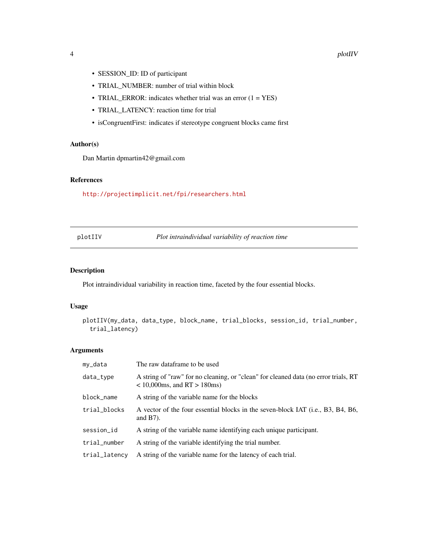- <span id="page-3-0"></span>• SESSION\_ID: ID of participant
- TRIAL\_NUMBER: number of trial within block
- TRIAL\_ERROR: indicates whether trial was an error  $(1 = YES)$
- TRIAL\_LATENCY: reaction time for trial
- isCongruentFirst: indicates if stereotype congruent blocks came first

## Author(s)

Dan Martin dpmartin42@gmail.com

## References

<http://projectimplicit.net/fpi/researchers.html>

## Plot intraindividual variability of reaction time

## Description

Plot intraindividual variability in reaction time, faceted by the four essential blocks.

#### Usage

```
plotIIV(my_data, data_type, block_name, trial_blocks, session_id, trial_number,
  trial_latency)
```
## Arguments

| my_data       | The raw dataframe to be used                                                                                             |
|---------------|--------------------------------------------------------------------------------------------------------------------------|
| data_type     | A string of "raw" for no cleaning, or "clean" for cleaned data (no error trials, RT<br>$< 10,000$ ms, and RT $> 180$ ms) |
| block_name    | A string of the variable name for the blocks                                                                             |
| trial_blocks  | A vector of the four essential blocks in the seven-block IAT (i.e., B3, B4, B6,<br>and $B7$ ).                           |
| session_id    | A string of the variable name identifying each unique participant.                                                       |
| trial_number  | A string of the variable identifying the trial number.                                                                   |
| trial_latency | A string of the variable name for the latency of each trial.                                                             |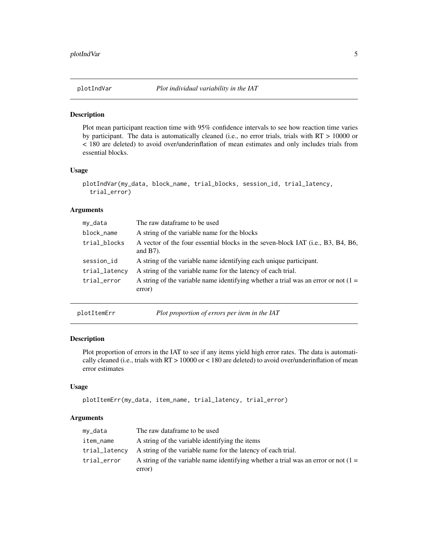<span id="page-4-0"></span>

#### Description

Plot mean participant reaction time with 95% confidence intervals to see how reaction time varies by participant. The data is automatically cleaned (i.e., no error trials, trials with RT > 10000 or < 180 are deleted) to avoid over/underinflation of mean estimates and only includes trials from essential blocks.

## Usage

```
plotIndVar(my_data, block_name, trial_blocks, session_id, trial_latency,
  trial_error)
```
## Arguments

| my_data       | The raw dataframe to be used                                                                    |
|---------------|-------------------------------------------------------------------------------------------------|
| block_name    | A string of the variable name for the blocks                                                    |
| trial_blocks  | A vector of the four essential blocks in the seven-block IAT (i.e., B3, B4, B6,<br>and $B(7)$ . |
| session_id    | A string of the variable name identifying each unique participant.                              |
| trial_latency | A string of the variable name for the latency of each trial.                                    |
| trial_error   | A string of the variable name identifying whether a trial was an error or not $(1 =$<br>error)  |

plotItemErr *Plot proportion of errors per item in the IAT*

## Description

Plot proportion of errors in the IAT to see if any items yield high error rates. The data is automatically cleaned (i.e., trials with  $RT > 10000$  or  $< 180$  are deleted) to avoid over/underinflation of mean error estimates

#### Usage

```
plotItemErr(my_data, item_name, trial_latency, trial_error)
```
## Arguments

| my_data       | The raw dataframe to be used                                                         |
|---------------|--------------------------------------------------------------------------------------|
| item_name     | A string of the variable identifying the items                                       |
| trial_latency | A string of the variable name for the latency of each trial.                         |
| trial_error   | A string of the variable name identifying whether a trial was an error or not $(1 =$ |
|               | error)                                                                               |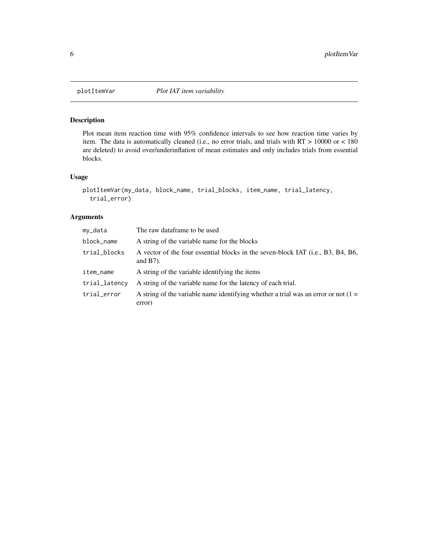<span id="page-5-0"></span>

## Description

Plot mean item reaction time with 95% confidence intervals to see how reaction time varies by item. The data is automatically cleaned (i.e., no error trials, and trials with RT > 10000 or < 180 are deleted) to avoid over/underinflation of mean estimates and only includes trials from essential blocks.

## Usage

```
plotItemVar(my_data, block_name, trial_blocks, item_name, trial_latency,
  trial_error)
```
## Arguments

| my_data       | The raw dataframe to be used                                                                   |
|---------------|------------------------------------------------------------------------------------------------|
| block_name    | A string of the variable name for the blocks                                                   |
| trial_blocks  | A vector of the four essential blocks in the seven-block IAT (i.e., B3, B4, B6,<br>and $B7$ ). |
| item_name     | A string of the variable identifying the items                                                 |
| trial_latency | A string of the variable name for the latency of each trial.                                   |
| trial_error   | A string of the variable name identifying whether a trial was an error or not $(1 =$<br>error) |